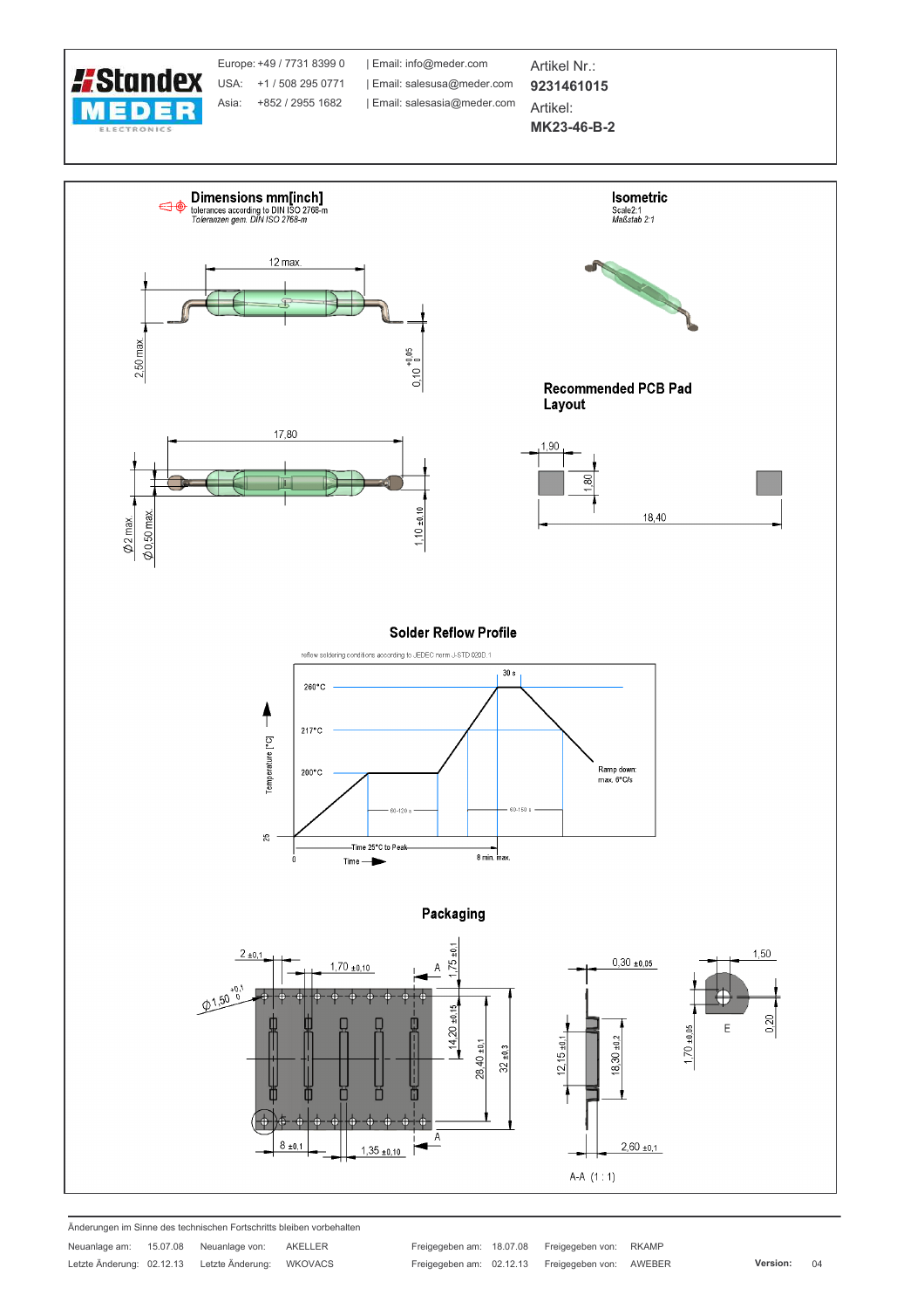